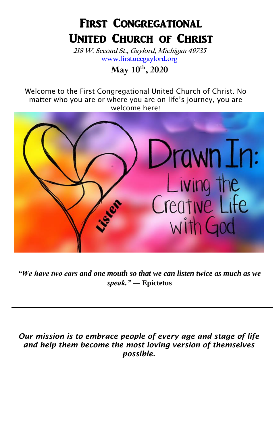# FIRST CONGREGATIONAL United Church of Christ

**218 W. Second St., Gaylord, Michigan 49735 [www.firstuccgaylord.org](http://www.firstuccgaylord.org/)**

**May 10th , 2020**

Welcome to the First Congregational United Church of Christ. No matter who you are or where you are on life's journey, you are welcome here!



*"We have two ears and one mouth so that we can listen twice as much as we speak."* **― Epictetus**

*Our mission is to embrace people of every age and stage of life and help them become the most loving version of themselves possible.*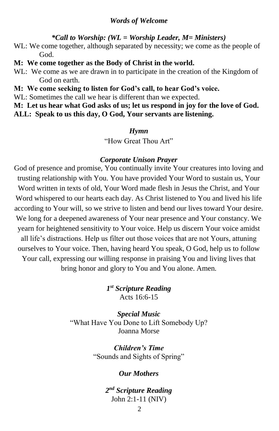#### *Words of Welcome*

#### *\*Call to Worship: (WL = Worship Leader, M= Ministers)*

- WL: We come together, although separated by necessity; we come as the people of God.
- **M: We come together as the Body of Christ in the world.**
- WL: We come as we are drawn in to participate in the creation of the Kingdom of God on earth.
- **M: We come seeking to listen for God's call, to hear God's voice.**
- WL: Sometimes the call we hear is different than we expected.

**M: Let us hear what God asks of us; let us respond in joy for the love of God. ALL: Speak to us this day, O God, Your servants are listening.**

#### *Hymn*

"How Great Thou Art"

#### *Corporate Unison Prayer*

God of presence and promise, You continually invite Your creatures into loving and trusting relationship with You. You have provided Your Word to sustain us, Your Word written in texts of old, Your Word made flesh in Jesus the Christ, and Your Word whispered to our hearts each day. As Christ listened to You and lived his life according to Your will, so we strive to listen and bend our lives toward Your desire. We long for a deepened awareness of Your near presence and Your constancy. We yearn for heightened sensitivity to Your voice. Help us discern Your voice amidst all life's distractions. Help us filter out those voices that are not Yours, attuning ourselves to Your voice. Then, having heard You speak, O God, help us to follow Your call, expressing our willing response in praising You and living lives that bring honor and glory to You and You alone. Amen.

> *1 st Scripture Reading* Acts 16:6-15

*Special Music* "What Have You Done to Lift Somebody Up? Joanna Morse

> *Children's Time* "Sounds and Sights of Spring"

#### *Our Mothers*

*2 nd Scripture Reading* John 2:1-11 (NIV)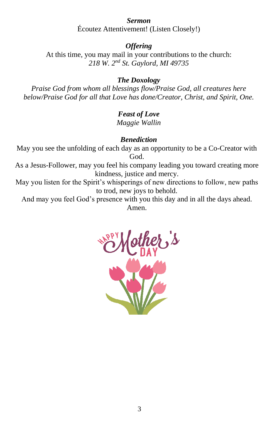## *Sermon*

Écoutez Attentivement! (Listen Closely!)

### *Offering*

At this time, you may mail in your contributions to the church: *218 W. 2nd St. Gaylord, MI 49735*

## *The Doxology*

*Praise God from whom all blessings flow/Praise God, all creatures here below/Praise God for all that Love has done/Creator, Christ, and Spirit, One.*

## *Feast of Love*

*Maggie Wallin*

## *Benediction*

May you see the unfolding of each day as an opportunity to be a Co-Creator with God.

As a Jesus-Follower, may you feel his company leading you toward creating more kindness, justice and mercy.

May you listen for the Spirit's whisperings of new directions to follow, new paths to trod, new joys to behold.

And may you feel God's presence with you this day and in all the days ahead. Amen.

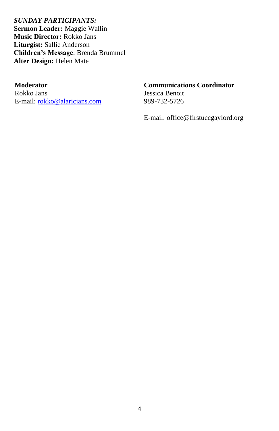*SUNDAY PARTICIPANTS:*  **Sermon Leader:** Maggie Wallin **Music Director:** Rokko Jans **Liturgist:** Sallie Anderson **Children's Message**: Brenda Brummel **Alter Design:** Helen Mate

#### **Moderator**

Rokko Jans E-mail: [rokko@alaricjans.com](mailto:rokko@alaricjans.com)

#### **Communications Coordinator**

Jessica Benoit 989-732-5726

E-mail: office@firstuccgaylord.org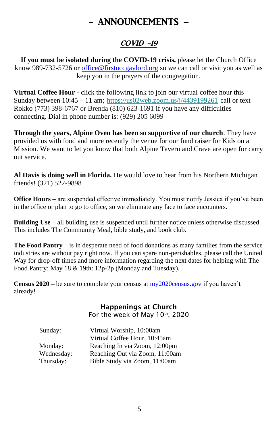# - ANNOUNCEMENTS –

## COVID -19

**If you must be isolated during the COVID-19 crisis,** please let the Church Office know 989-732-5726 or [office@firstuccgaylord.org](mailto:office@firstuccgaylord.org) so we can call or visit you as well as keep you in the prayers of the congregation.

**Virtual Coffee Hour** - click the following link to join our virtual coffee hour this Sunday between 10:45 – 11 am; [https://us02web.zoom.us/j/4439199261](https://firstuccgaylord.us20.list-manage.com/track/click?u=7f2a27ab158c2b7356920f650&id=36015e1d34&e=1034f0ffee) call or text Rokko (773) 398-6767 or Brenda (810) 623-1691 if you have any difficulties connecting. Dial in phone number is: (929) 205 6099

**Through the years, Alpine Oven has been so supportive of our church**. They have provided us with food and more recently the venue for our fund raiser for Kids on a Mission. We want to let you know that both Alpine Tavern and Crave are open for carry out service.

**Al Davis is doing well in Florida.** He would love to hear from his Northern Michigan friends! (321) 522-9898

**Office Hours** – are suspended effective immediately. You must notify Jessica if you've been in the office or plan to go to office, so we eliminate any face to face encounters.

**Building Use** – all building use is suspended until further notice unless otherwise discussed. This includes The Community Meal, bible study, and book club.

**The Food Pantry** – is in desperate need of food donations as many families from the service industries are without pay right now. If you can spare non-perishables, please call the United Way for drop-off times and more information regarding the next dates for helping with The Food Pantry: May 18 & 19th: 12p-2p (Monday and Tuesday).

**Census 2020 –** be sure to complete your census at [my2020census.gov](http://www.my2020census.gov/) if you haven't already!

### Happenings at Church

For the week of May 10<sup>th</sup>, 2020

| Sunday:    | Virtual Worship, 10:00am       |
|------------|--------------------------------|
|            | Virtual Coffee Hour, 10:45am   |
| Monday:    | Reaching In via Zoom, 12:00pm  |
| Wednesday: | Reaching Out via Zoom, 11:00am |
| Thursday:  | Bible Study via Zoom, 11:00am  |